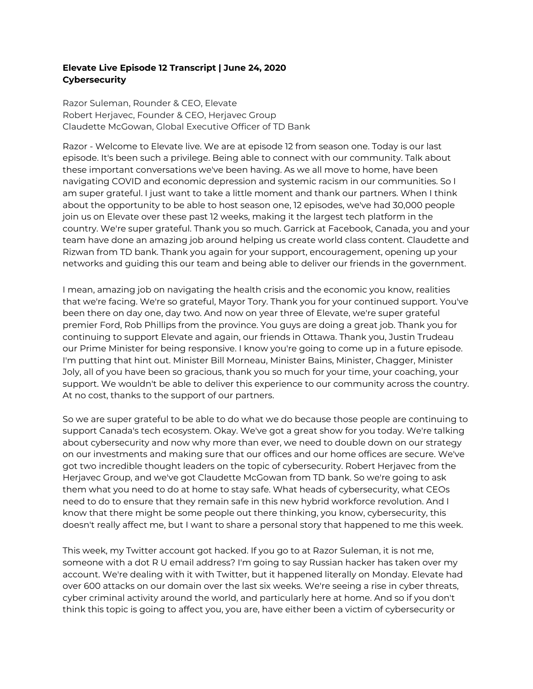## **Elevate Live Episode 12 Transcript | June 24, 2020 Cybersecurity**

Razor Suleman, Rounder & CEO, Elevate Robert Herjavec, Founder & CEO, Herjavec Group Claudette McGowan, Global Executive Officer of TD Bank

Razor - Welcome to Elevate live. We are at episode 12 from season one. Today is our last episode. It's been such a privilege. Being able to connect with our community. Talk about these important conversations we've been having. As we all move to home, have been navigating COVID and economic depression and systemic racism in our communities. So I am super grateful. I just want to take a little moment and thank our partners. When I think about the opportunity to be able to host season one, 12 episodes, we've had 30,000 people join us on Elevate over these past 12 weeks, making it the largest tech platform in the country. We're super grateful. Thank you so much. Garrick at Facebook, Canada, you and your team have done an amazing job around helping us create world class content. Claudette and Rizwan from TD bank. Thank you again for your support, encouragement, opening up your networks and guiding this our team and being able to deliver our friends in the government.

I mean, amazing job on navigating the health crisis and the economic you know, realities that we're facing. We're so grateful, Mayor Tory. Thank you for your continued support. You've been there on day one, day two. And now on year three of Elevate, we're super grateful premier Ford, Rob Phillips from the province. You guys are doing a great job. Thank you for continuing to support Elevate and again, our friends in Ottawa. Thank you, Justin Trudeau our Prime Minister for being responsive. I know you're going to come up in a future episode. I'm putting that hint out. Minister Bill Morneau, Minister Bains, Minister, Chagger, Minister Joly, all of you have been so gracious, thank you so much for your time, your coaching, your support. We wouldn't be able to deliver this experience to our community across the country. At no cost, thanks to the support of our partners.

So we are super grateful to be able to do what we do because those people are continuing to support Canada's tech ecosystem. Okay. We've got a great show for you today. We're talking about cybersecurity and now why more than ever, we need to double down on our strategy on our investments and making sure that our offices and our home offices are secure. We've got two incredible thought leaders on the topic of cybersecurity. Robert Herjavec from the Herjavec Group, and we've got Claudette McGowan from TD bank. So we're going to ask them what you need to do at home to stay safe. What heads of cybersecurity, what CEOs need to do to ensure that they remain safe in this new hybrid workforce revolution. And I know that there might be some people out there thinking, you know, cybersecurity, this doesn't really affect me, but I want to share a personal story that happened to me this week.

This week, my Twitter account got hacked. If you go to at Razor Suleman, it is not me, someone with a dot R U email address? I'm going to say Russian hacker has taken over my account. We're dealing with it with Twitter, but it happened literally on Monday. Elevate had over 600 attacks on our domain over the last six weeks. We're seeing a rise in cyber threats, cyber criminal activity around the world, and particularly here at home. And so if you don't think this topic is going to affect you, you are, have either been a victim of cybersecurity or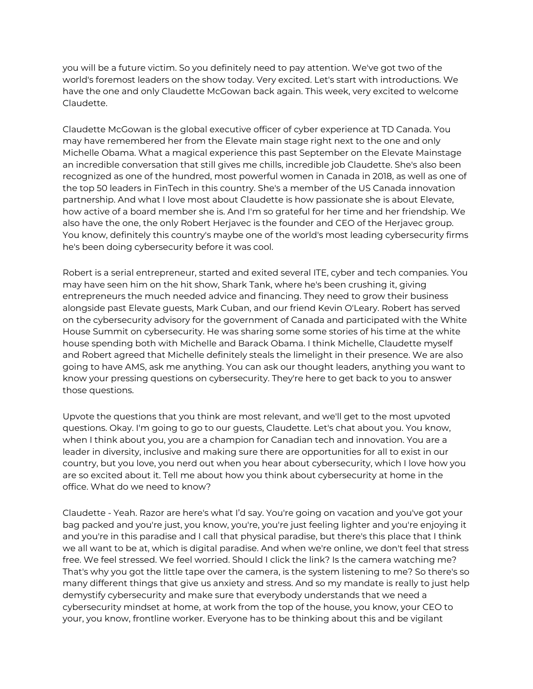you will be a future victim. So you definitely need to pay attention. We've got two of the world's foremost leaders on the show today. Very excited. Let's start with introductions. We have the one and only Claudette McGowan back again. This week, very excited to welcome Claudette.

Claudette McGowan is the global executive officer of cyber experience at TD Canada. You may have remembered her from the Elevate main stage right next to the one and only Michelle Obama. What a magical experience this past September on the Elevate Mainstage an incredible conversation that still gives me chills, incredible job Claudette. She's also been recognized as one of the hundred, most powerful women in Canada in 2018, as well as one of the top 50 leaders in FinTech in this country. She's a member of the US Canada innovation partnership. And what I love most about Claudette is how passionate she is about Elevate, how active of a board member she is. And I'm so grateful for her time and her friendship. We also have the one, the only Robert Herjavec is the founder and CEO of the Herjavec group. You know, definitely this country's maybe one of the world's most leading cybersecurity firms he's been doing cybersecurity before it was cool.

Robert is a serial entrepreneur, started and exited several ITE, cyber and tech companies. You may have seen him on the hit show, Shark Tank, where he's been crushing it, giving entrepreneurs the much needed advice and financing. They need to grow their business alongside past Elevate guests, Mark Cuban, and our friend Kevin O'Leary. Robert has served on the cybersecurity advisory for the government of Canada and participated with the White House Summit on cybersecurity. He was sharing some some stories of his time at the white house spending both with Michelle and Barack Obama. I think Michelle, Claudette myself and Robert agreed that Michelle definitely steals the limelight in their presence. We are also going to have AMS, ask me anything. You can ask our thought leaders, anything you want to know your pressing questions on cybersecurity. They're here to get back to you to answer those questions.

Upvote the questions that you think are most relevant, and we'll get to the most upvoted questions. Okay. I'm going to go to our guests, Claudette. Let's chat about you. You know, when I think about you, you are a champion for Canadian tech and innovation. You are a leader in diversity, inclusive and making sure there are opportunities for all to exist in our country, but you love, you nerd out when you hear about cybersecurity, which I love how you are so excited about it. Tell me about how you think about cybersecurity at home in the office. What do we need to know?

Claudette - Yeah. Razor are here's what I'd say. You're going on vacation and you've got your bag packed and you're just, you know, you're, you're just feeling lighter and you're enjoying it and you're in this paradise and I call that physical paradise, but there's this place that I think we all want to be at, which is digital paradise. And when we're online, we don't feel that stress free. We feel stressed. We feel worried. Should I click the link? Is the camera watching me? That's why you got the little tape over the camera, is the system listening to me? So there's so many different things that give us anxiety and stress. And so my mandate is really to just help demystify cybersecurity and make sure that everybody understands that we need a cybersecurity mindset at home, at work from the top of the house, you know, your CEO to your, you know, frontline worker. Everyone has to be thinking about this and be vigilant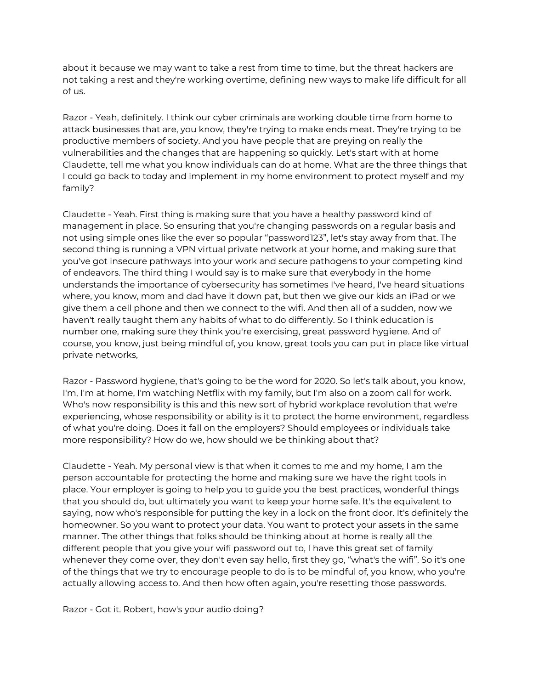about it because we may want to take a rest from time to time, but the threat hackers are not taking a rest and they're working overtime, defining new ways to make life difficult for all of us.

Razor - Yeah, definitely. I think our cyber criminals are working double time from home to attack businesses that are, you know, they're trying to make ends meat. They're trying to be productive members of society. And you have people that are preying on really the vulnerabilities and the changes that are happening so quickly. Let's start with at home Claudette, tell me what you know individuals can do at home. What are the three things that I could go back to today and implement in my home environment to protect myself and my family?

Claudette - Yeah. First thing is making sure that you have a healthy password kind of management in place. So ensuring that you're changing passwords on a regular basis and not using simple ones like the ever so popular "password123", let's stay away from that. The second thing is running a VPN virtual private network at your home, and making sure that you've got insecure pathways into your work and secure pathogens to your competing kind of endeavors. The third thing I would say is to make sure that everybody in the home understands the importance of cybersecurity has sometimes I've heard, I've heard situations where, you know, mom and dad have it down pat, but then we give our kids an iPad or we give them a cell phone and then we connect to the wifi. And then all of a sudden, now we haven't really taught them any habits of what to do differently. So I think education is number one, making sure they think you're exercising, great password hygiene. And of course, you know, just being mindful of, you know, great tools you can put in place like virtual private networks,

Razor - Password hygiene, that's going to be the word for 2020. So let's talk about, you know, I'm, I'm at home, I'm watching Netflix with my family, but I'm also on a zoom call for work. Who's now responsibility is this and this new sort of hybrid workplace revolution that we're experiencing, whose responsibility or ability is it to protect the home environment, regardless of what you're doing. Does it fall on the employers? Should employees or individuals take more responsibility? How do we, how should we be thinking about that?

Claudette - Yeah. My personal view is that when it comes to me and my home, I am the person accountable for protecting the home and making sure we have the right tools in place. Your employer is going to help you to guide you the best practices, wonderful things that you should do, but ultimately you want to keep your home safe. It's the equivalent to saying, now who's responsible for putting the key in a lock on the front door. It's definitely the homeowner. So you want to protect your data. You want to protect your assets in the same manner. The other things that folks should be thinking about at home is really all the different people that you give your wifi password out to, I have this great set of family whenever they come over, they don't even say hello, first they go, "what's the wifi". So it's one of the things that we try to encourage people to do is to be mindful of, you know, who you're actually allowing access to. And then how often again, you're resetting those passwords.

Razor - Got it. Robert, how's your audio doing?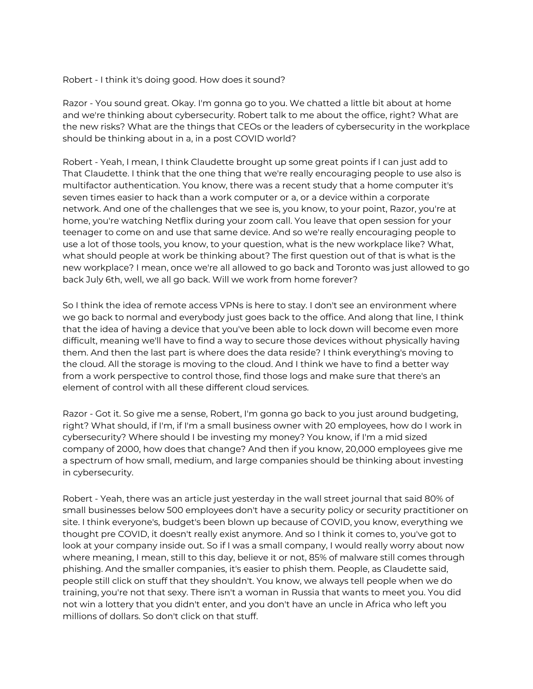## Robert - I think it's doing good. How does it sound?

Razor - You sound great. Okay. I'm gonna go to you. We chatted a little bit about at home and we're thinking about cybersecurity. Robert talk to me about the office, right? What are the new risks? What are the things that CEOs or the leaders of cybersecurity in the workplace should be thinking about in a, in a post COVID world?

Robert - Yeah, I mean, I think Claudette brought up some great points if I can just add to That Claudette. I think that the one thing that we're really encouraging people to use also is multifactor authentication. You know, there was a recent study that a home computer it's seven times easier to hack than a work computer or a, or a device within a corporate network. And one of the challenges that we see is, you know, to your point, Razor, you're at home, you're watching Netflix during your zoom call. You leave that open session for your teenager to come on and use that same device. And so we're really encouraging people to use a lot of those tools, you know, to your question, what is the new workplace like? What, what should people at work be thinking about? The first question out of that is what is the new workplace? I mean, once we're all allowed to go back and Toronto was just allowed to go back July 6th, well, we all go back. Will we work from home forever?

So I think the idea of remote access VPNs is here to stay. I don't see an environment where we go back to normal and everybody just goes back to the office. And along that line, I think that the idea of having a device that you've been able to lock down will become even more difficult, meaning we'll have to find a way to secure those devices without physically having them. And then the last part is where does the data reside? I think everything's moving to the cloud. All the storage is moving to the cloud. And I think we have to find a better way from a work perspective to control those, find those logs and make sure that there's an element of control with all these different cloud services.

Razor - Got it. So give me a sense, Robert, I'm gonna go back to you just around budgeting, right? What should, if I'm, if I'm a small business owner with 20 employees, how do I work in cybersecurity? Where should I be investing my money? You know, if I'm a mid sized company of 2000, how does that change? And then if you know, 20,000 employees give me a spectrum of how small, medium, and large companies should be thinking about investing in cybersecurity.

Robert - Yeah, there was an article just yesterday in the wall street journal that said 80% of small businesses below 500 employees don't have a security policy or security practitioner on site. I think everyone's, budget's been blown up because of COVID, you know, everything we thought pre COVID, it doesn't really exist anymore. And so I think it comes to, you've got to look at your company inside out. So if I was a small company, I would really worry about now where meaning, I mean, still to this day, believe it or not, 85% of malware still comes through phishing. And the smaller companies, it's easier to phish them. People, as Claudette said, people still click on stuff that they shouldn't. You know, we always tell people when we do training, you're not that sexy. There isn't a woman in Russia that wants to meet you. You did not win a lottery that you didn't enter, and you don't have an uncle in Africa who left you millions of dollars. So don't click on that stuff.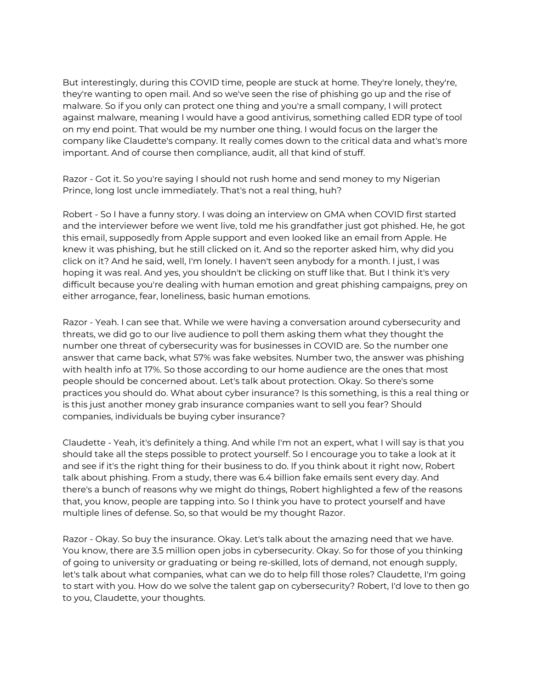But interestingly, during this COVID time, people are stuck at home. They're lonely, they're, they're wanting to open mail. And so we've seen the rise of phishing go up and the rise of malware. So if you only can protect one thing and you're a small company, I will protect against malware, meaning I would have a good antivirus, something called EDR type of tool on my end point. That would be my number one thing. I would focus on the larger the company like Claudette's company. It really comes down to the critical data and what's more important. And of course then compliance, audit, all that kind of stuff.

Razor - Got it. So you're saying I should not rush home and send money to my Nigerian Prince, long lost uncle immediately. That's not a real thing, huh?

Robert - So I have a funny story. I was doing an interview on GMA when COVID first started and the interviewer before we went live, told me his grandfather just got phished. He, he got this email, supposedly from Apple support and even looked like an email from Apple. He knew it was phishing, but he still clicked on it. And so the reporter asked him, why did you click on it? And he said, well, I'm lonely. I haven't seen anybody for a month. I just, I was hoping it was real. And yes, you shouldn't be clicking on stuff like that. But I think it's very difficult because you're dealing with human emotion and great phishing campaigns, prey on either arrogance, fear, loneliness, basic human emotions.

Razor - Yeah. I can see that. While we were having a conversation around cybersecurity and threats, we did go to our live audience to poll them asking them what they thought the number one threat of cybersecurity was for businesses in COVID are. So the number one answer that came back, what 57% was fake websites. Number two, the answer was phishing with health info at 17%. So those according to our home audience are the ones that most people should be concerned about. Let's talk about protection. Okay. So there's some practices you should do. What about cyber insurance? Is this something, is this a real thing or is this just another money grab insurance companies want to sell you fear? Should companies, individuals be buying cyber insurance?

Claudette - Yeah, it's definitely a thing. And while I'm not an expert, what I will say is that you should take all the steps possible to protect yourself. So I encourage you to take a look at it and see if it's the right thing for their business to do. If you think about it right now, Robert talk about phishing. From a study, there was 6.4 billion fake emails sent every day. And there's a bunch of reasons why we might do things, Robert highlighted a few of the reasons that, you know, people are tapping into. So I think you have to protect yourself and have multiple lines of defense. So, so that would be my thought Razor.

Razor - Okay. So buy the insurance. Okay. Let's talk about the amazing need that we have. You know, there are 3.5 million open jobs in cybersecurity. Okay. So for those of you thinking of going to university or graduating or being re-skilled, lots of demand, not enough supply, let's talk about what companies, what can we do to help fill those roles? Claudette, I'm going to start with you. How do we solve the talent gap on cybersecurity? Robert, I'd love to then go to you, Claudette, your thoughts.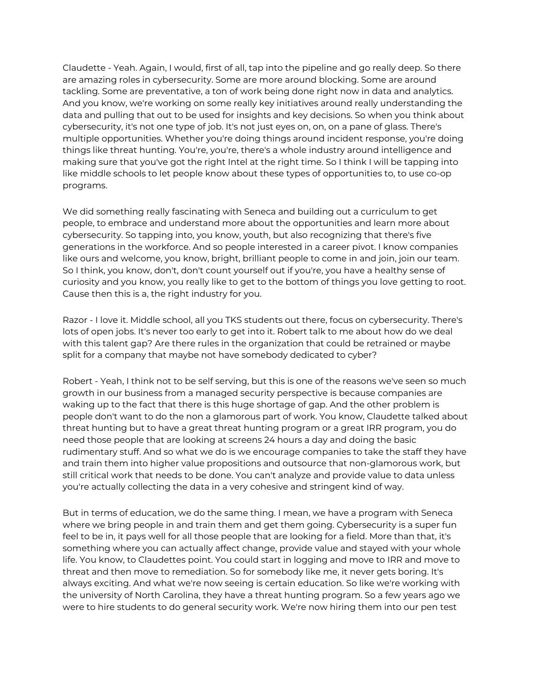Claudette - Yeah. Again, I would, first of all, tap into the pipeline and go really deep. So there are amazing roles in cybersecurity. Some are more around blocking. Some are around tackling. Some are preventative, a ton of work being done right now in data and analytics. And you know, we're working on some really key initiatives around really understanding the data and pulling that out to be used for insights and key decisions. So when you think about cybersecurity, it's not one type of job. It's not just eyes on, on, on a pane of glass. There's multiple opportunities. Whether you're doing things around incident response, you're doing things like threat hunting. You're, you're, there's a whole industry around intelligence and making sure that you've got the right Intel at the right time. So I think I will be tapping into like middle schools to let people know about these types of opportunities to, to use co-op programs.

We did something really fascinating with Seneca and building out a curriculum to get people, to embrace and understand more about the opportunities and learn more about cybersecurity. So tapping into, you know, youth, but also recognizing that there's five generations in the workforce. And so people interested in a career pivot. I know companies like ours and welcome, you know, bright, brilliant people to come in and join, join our team. So I think, you know, don't, don't count yourself out if you're, you have a healthy sense of curiosity and you know, you really like to get to the bottom of things you love getting to root. Cause then this is a, the right industry for you.

Razor - I love it. Middle school, all you TKS students out there, focus on cybersecurity. There's lots of open jobs. It's never too early to get into it. Robert talk to me about how do we deal with this talent gap? Are there rules in the organization that could be retrained or maybe split for a company that maybe not have somebody dedicated to cyber?

Robert - Yeah, I think not to be self serving, but this is one of the reasons we've seen so much growth in our business from a managed security perspective is because companies are waking up to the fact that there is this huge shortage of gap. And the other problem is people don't want to do the non a glamorous part of work. You know, Claudette talked about threat hunting but to have a great threat hunting program or a great IRR program, you do need those people that are looking at screens 24 hours a day and doing the basic rudimentary stuff. And so what we do is we encourage companies to take the staff they have and train them into higher value propositions and outsource that non-glamorous work, but still critical work that needs to be done. You can't analyze and provide value to data unless you're actually collecting the data in a very cohesive and stringent kind of way.

But in terms of education, we do the same thing. I mean, we have a program with Seneca where we bring people in and train them and get them going. Cybersecurity is a super fun feel to be in, it pays well for all those people that are looking for a field. More than that, it's something where you can actually affect change, provide value and stayed with your whole life. You know, to Claudettes point. You could start in logging and move to IRR and move to threat and then move to remediation. So for somebody like me, it never gets boring. It's always exciting. And what we're now seeing is certain education. So like we're working with the university of North Carolina, they have a threat hunting program. So a few years ago we were to hire students to do general security work. We're now hiring them into our pen test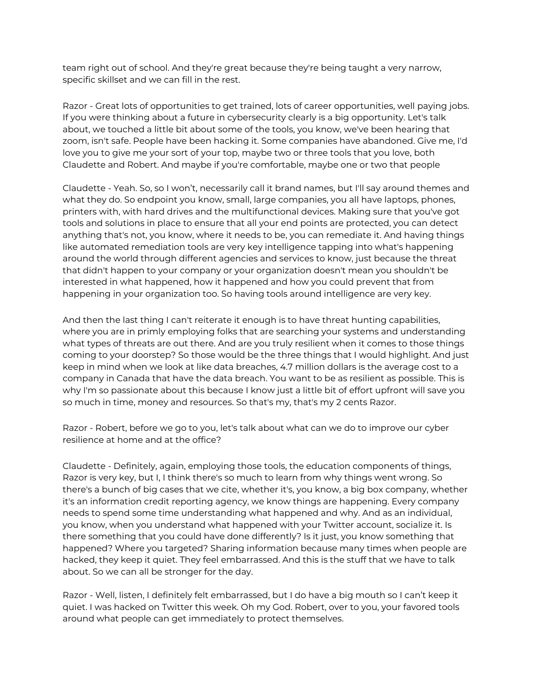team right out of school. And they're great because they're being taught a very narrow, specific skillset and we can fill in the rest.

Razor - Great lots of opportunities to get trained, lots of career opportunities, well paying jobs. If you were thinking about a future in cybersecurity clearly is a big opportunity. Let's talk about, we touched a little bit about some of the tools, you know, we've been hearing that zoom, isn't safe. People have been hacking it. Some companies have abandoned. Give me, I'd love you to give me your sort of your top, maybe two or three tools that you love, both Claudette and Robert. And maybe if you're comfortable, maybe one or two that people

Claudette - Yeah. So, so I won't, necessarily call it brand names, but I'll say around themes and what they do. So endpoint you know, small, large companies, you all have laptops, phones, printers with, with hard drives and the multifunctional devices. Making sure that you've got tools and solutions in place to ensure that all your end points are protected, you can detect anything that's not, you know, where it needs to be, you can remediate it. And having things like automated remediation tools are very key intelligence tapping into what's happening around the world through different agencies and services to know, just because the threat that didn't happen to your company or your organization doesn't mean you shouldn't be interested in what happened, how it happened and how you could prevent that from happening in your organization too. So having tools around intelligence are very key.

And then the last thing I can't reiterate it enough is to have threat hunting capabilities, where you are in primly employing folks that are searching your systems and understanding what types of threats are out there. And are you truly resilient when it comes to those things coming to your doorstep? So those would be the three things that I would highlight. And just keep in mind when we look at like data breaches, 4.7 million dollars is the average cost to a company in Canada that have the data breach. You want to be as resilient as possible. This is why I'm so passionate about this because I know just a little bit of effort upfront will save you so much in time, money and resources. So that's my, that's my 2 cents Razor.

Razor - Robert, before we go to you, let's talk about what can we do to improve our cyber resilience at home and at the office?

Claudette - Definitely, again, employing those tools, the education components of things, Razor is very key, but I, I think there's so much to learn from why things went wrong. So there's a bunch of big cases that we cite, whether it's, you know, a big box company, whether it's an information credit reporting agency, we know things are happening. Every company needs to spend some time understanding what happened and why. And as an individual, you know, when you understand what happened with your Twitter account, socialize it. Is there something that you could have done differently? Is it just, you know something that happened? Where you targeted? Sharing information because many times when people are hacked, they keep it quiet. They feel embarrassed. And this is the stuff that we have to talk about. So we can all be stronger for the day.

Razor - Well, listen, I definitely felt embarrassed, but I do have a big mouth so I can't keep it quiet. I was hacked on Twitter this week. Oh my God. Robert, over to you, your favored tools around what people can get immediately to protect themselves.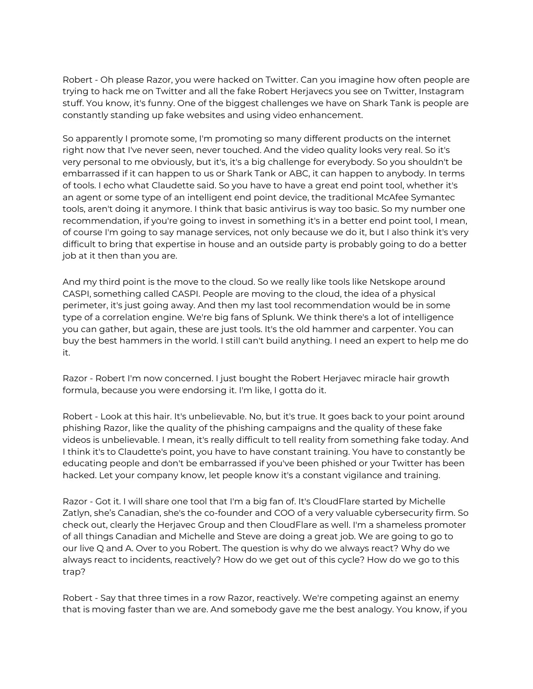Robert - Oh please Razor, you were hacked on Twitter. Can you imagine how often people are trying to hack me on Twitter and all the fake Robert Herjavecs you see on Twitter, Instagram stuff. You know, it's funny. One of the biggest challenges we have on Shark Tank is people are constantly standing up fake websites and using video enhancement.

So apparently I promote some, I'm promoting so many different products on the internet right now that I've never seen, never touched. And the video quality looks very real. So it's very personal to me obviously, but it's, it's a big challenge for everybody. So you shouldn't be embarrassed if it can happen to us or Shark Tank or ABC, it can happen to anybody. In terms of tools. I echo what Claudette said. So you have to have a great end point tool, whether it's an agent or some type of an intelligent end point device, the traditional McAfee Symantec tools, aren't doing it anymore. I think that basic antivirus is way too basic. So my number one recommendation, if you're going to invest in something it's in a better end point tool, I mean, of course I'm going to say manage services, not only because we do it, but I also think it's very difficult to bring that expertise in house and an outside party is probably going to do a better job at it then than you are.

And my third point is the move to the cloud. So we really like tools like Netskope around CASPI, something called CASPI. People are moving to the cloud, the idea of a physical perimeter, it's just going away. And then my last tool recommendation would be in some type of a correlation engine. We're big fans of Splunk. We think there's a lot of intelligence you can gather, but again, these are just tools. It's the old hammer and carpenter. You can buy the best hammers in the world. I still can't build anything. I need an expert to help me do it.

Razor - Robert I'm now concerned. I just bought the Robert Herjavec miracle hair growth formula, because you were endorsing it. I'm like, I gotta do it.

Robert - Look at this hair. It's unbelievable. No, but it's true. It goes back to your point around phishing Razor, like the quality of the phishing campaigns and the quality of these fake videos is unbelievable. I mean, it's really difficult to tell reality from something fake today. And I think it's to Claudette's point, you have to have constant training. You have to constantly be educating people and don't be embarrassed if you've been phished or your Twitter has been hacked. Let your company know, let people know it's a constant vigilance and training.

Razor - Got it. I will share one tool that I'm a big fan of. It's CloudFlare started by Michelle Zatlyn, she's Canadian, she's the co-founder and COO of a very valuable cybersecurity firm. So check out, clearly the Herjavec Group and then CloudFlare as well. I'm a shameless promoter of all things Canadian and Michelle and Steve are doing a great job. We are going to go to our live Q and A. Over to you Robert. The question is why do we always react? Why do we always react to incidents, reactively? How do we get out of this cycle? How do we go to this trap?

Robert - Say that three times in a row Razor, reactively. We're competing against an enemy that is moving faster than we are. And somebody gave me the best analogy. You know, if you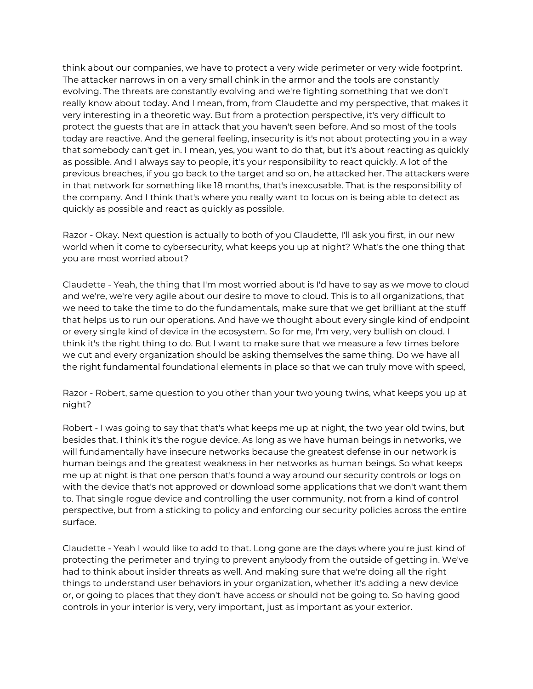think about our companies, we have to protect a very wide perimeter or very wide footprint. The attacker narrows in on a very small chink in the armor and the tools are constantly evolving. The threats are constantly evolving and we're fighting something that we don't really know about today. And I mean, from, from Claudette and my perspective, that makes it very interesting in a theoretic way. But from a protection perspective, it's very difficult to protect the guests that are in attack that you haven't seen before. And so most of the tools today are reactive. And the general feeling, insecurity is it's not about protecting you in a way that somebody can't get in. I mean, yes, you want to do that, but it's about reacting as quickly as possible. And I always say to people, it's your responsibility to react quickly. A lot of the previous breaches, if you go back to the target and so on, he attacked her. The attackers were in that network for something like 18 months, that's inexcusable. That is the responsibility of the company. And I think that's where you really want to focus on is being able to detect as quickly as possible and react as quickly as possible.

Razor - Okay. Next question is actually to both of you Claudette, I'll ask you first, in our new world when it come to cybersecurity, what keeps you up at night? What's the one thing that you are most worried about?

Claudette - Yeah, the thing that I'm most worried about is I'd have to say as we move to cloud and we're, we're very agile about our desire to move to cloud. This is to all organizations, that we need to take the time to do the fundamentals, make sure that we get brilliant at the stuff that helps us to run our operations. And have we thought about every single kind of endpoint or every single kind of device in the ecosystem. So for me, I'm very, very bullish on cloud. I think it's the right thing to do. But I want to make sure that we measure a few times before we cut and every organization should be asking themselves the same thing. Do we have all the right fundamental foundational elements in place so that we can truly move with speed,

Razor - Robert, same question to you other than your two young twins, what keeps you up at night?

Robert - I was going to say that that's what keeps me up at night, the two year old twins, but besides that, I think it's the rogue device. As long as we have human beings in networks, we will fundamentally have insecure networks because the greatest defense in our network is human beings and the greatest weakness in her networks as human beings. So what keeps me up at night is that one person that's found a way around our security controls or logs on with the device that's not approved or download some applications that we don't want them to. That single rogue device and controlling the user community, not from a kind of control perspective, but from a sticking to policy and enforcing our security policies across the entire surface.

Claudette - Yeah I would like to add to that. Long gone are the days where you're just kind of protecting the perimeter and trying to prevent anybody from the outside of getting in. We've had to think about insider threats as well. And making sure that we're doing all the right things to understand user behaviors in your organization, whether it's adding a new device or, or going to places that they don't have access or should not be going to. So having good controls in your interior is very, very important, just as important as your exterior.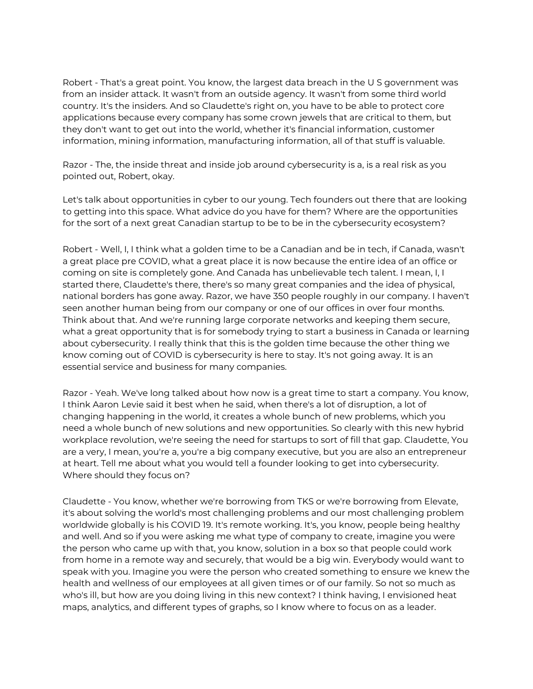Robert - That's a great point. You know, the largest data breach in the U S government was from an insider attack. It wasn't from an outside agency. It wasn't from some third world country. It's the insiders. And so Claudette's right on, you have to be able to protect core applications because every company has some crown jewels that are critical to them, but they don't want to get out into the world, whether it's financial information, customer information, mining information, manufacturing information, all of that stuff is valuable.

Razor - The, the inside threat and inside job around cybersecurity is a, is a real risk as you pointed out, Robert, okay.

Let's talk about opportunities in cyber to our young. Tech founders out there that are looking to getting into this space. What advice do you have for them? Where are the opportunities for the sort of a next great Canadian startup to be to be in the cybersecurity ecosystem?

Robert - Well, I, I think what a golden time to be a Canadian and be in tech, if Canada, wasn't a great place pre COVID, what a great place it is now because the entire idea of an office or coming on site is completely gone. And Canada has unbelievable tech talent. I mean, I, I started there, Claudette's there, there's so many great companies and the idea of physical, national borders has gone away. Razor, we have 350 people roughly in our company. I haven't seen another human being from our company or one of our offices in over four months. Think about that. And we're running large corporate networks and keeping them secure, what a great opportunity that is for somebody trying to start a business in Canada or learning about cybersecurity. I really think that this is the golden time because the other thing we know coming out of COVID is cybersecurity is here to stay. It's not going away. It is an essential service and business for many companies.

Razor - Yeah. We've long talked about how now is a great time to start a company. You know, I think Aaron Levie said it best when he said, when there's a lot of disruption, a lot of changing happening in the world, it creates a whole bunch of new problems, which you need a whole bunch of new solutions and new opportunities. So clearly with this new hybrid workplace revolution, we're seeing the need for startups to sort of fill that gap. Claudette, You are a very, I mean, you're a, you're a big company executive, but you are also an entrepreneur at heart. Tell me about what you would tell a founder looking to get into cybersecurity. Where should they focus on?

Claudette - You know, whether we're borrowing from TKS or we're borrowing from Elevate, it's about solving the world's most challenging problems and our most challenging problem worldwide globally is his COVID 19. It's remote working. It's, you know, people being healthy and well. And so if you were asking me what type of company to create, imagine you were the person who came up with that, you know, solution in a box so that people could work from home in a remote way and securely, that would be a big win. Everybody would want to speak with you. Imagine you were the person who created something to ensure we knew the health and wellness of our employees at all given times or of our family. So not so much as who's ill, but how are you doing living in this new context? I think having, I envisioned heat maps, analytics, and different types of graphs, so I know where to focus on as a leader.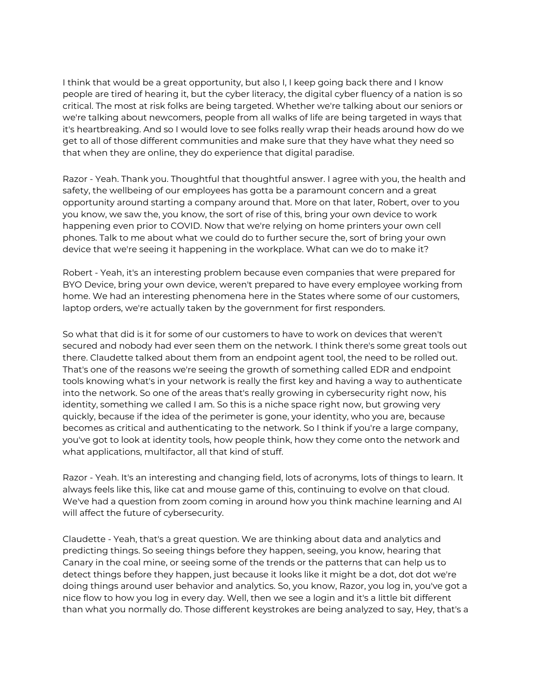I think that would be a great opportunity, but also I, I keep going back there and I know people are tired of hearing it, but the cyber literacy, the digital cyber fluency of a nation is so critical. The most at risk folks are being targeted. Whether we're talking about our seniors or we're talking about newcomers, people from all walks of life are being targeted in ways that it's heartbreaking. And so I would love to see folks really wrap their heads around how do we get to all of those different communities and make sure that they have what they need so that when they are online, they do experience that digital paradise.

Razor - Yeah. Thank you. Thoughtful that thoughtful answer. I agree with you, the health and safety, the wellbeing of our employees has gotta be a paramount concern and a great opportunity around starting a company around that. More on that later, Robert, over to you you know, we saw the, you know, the sort of rise of this, bring your own device to work happening even prior to COVID. Now that we're relying on home printers your own cell phones. Talk to me about what we could do to further secure the, sort of bring your own device that we're seeing it happening in the workplace. What can we do to make it?

Robert - Yeah, it's an interesting problem because even companies that were prepared for BYO Device, bring your own device, weren't prepared to have every employee working from home. We had an interesting phenomena here in the States where some of our customers, laptop orders, we're actually taken by the government for first responders.

So what that did is it for some of our customers to have to work on devices that weren't secured and nobody had ever seen them on the network. I think there's some great tools out there. Claudette talked about them from an endpoint agent tool, the need to be rolled out. That's one of the reasons we're seeing the growth of something called EDR and endpoint tools knowing what's in your network is really the first key and having a way to authenticate into the network. So one of the areas that's really growing in cybersecurity right now, his identity, something we called I am. So this is a niche space right now, but growing very quickly, because if the idea of the perimeter is gone, your identity, who you are, because becomes as critical and authenticating to the network. So I think if you're a large company, you've got to look at identity tools, how people think, how they come onto the network and what applications, multifactor, all that kind of stuff.

Razor - Yeah. It's an interesting and changing field, lots of acronyms, lots of things to learn. It always feels like this, like cat and mouse game of this, continuing to evolve on that cloud. We've had a question from zoom coming in around how you think machine learning and AI will affect the future of cybersecurity.

Claudette - Yeah, that's a great question. We are thinking about data and analytics and predicting things. So seeing things before they happen, seeing, you know, hearing that Canary in the coal mine, or seeing some of the trends or the patterns that can help us to detect things before they happen, just because it looks like it might be a dot, dot dot we're doing things around user behavior and analytics. So, you know, Razor, you log in, you've got a nice flow to how you log in every day. Well, then we see a login and it's a little bit different than what you normally do. Those different keystrokes are being analyzed to say, Hey, that's a